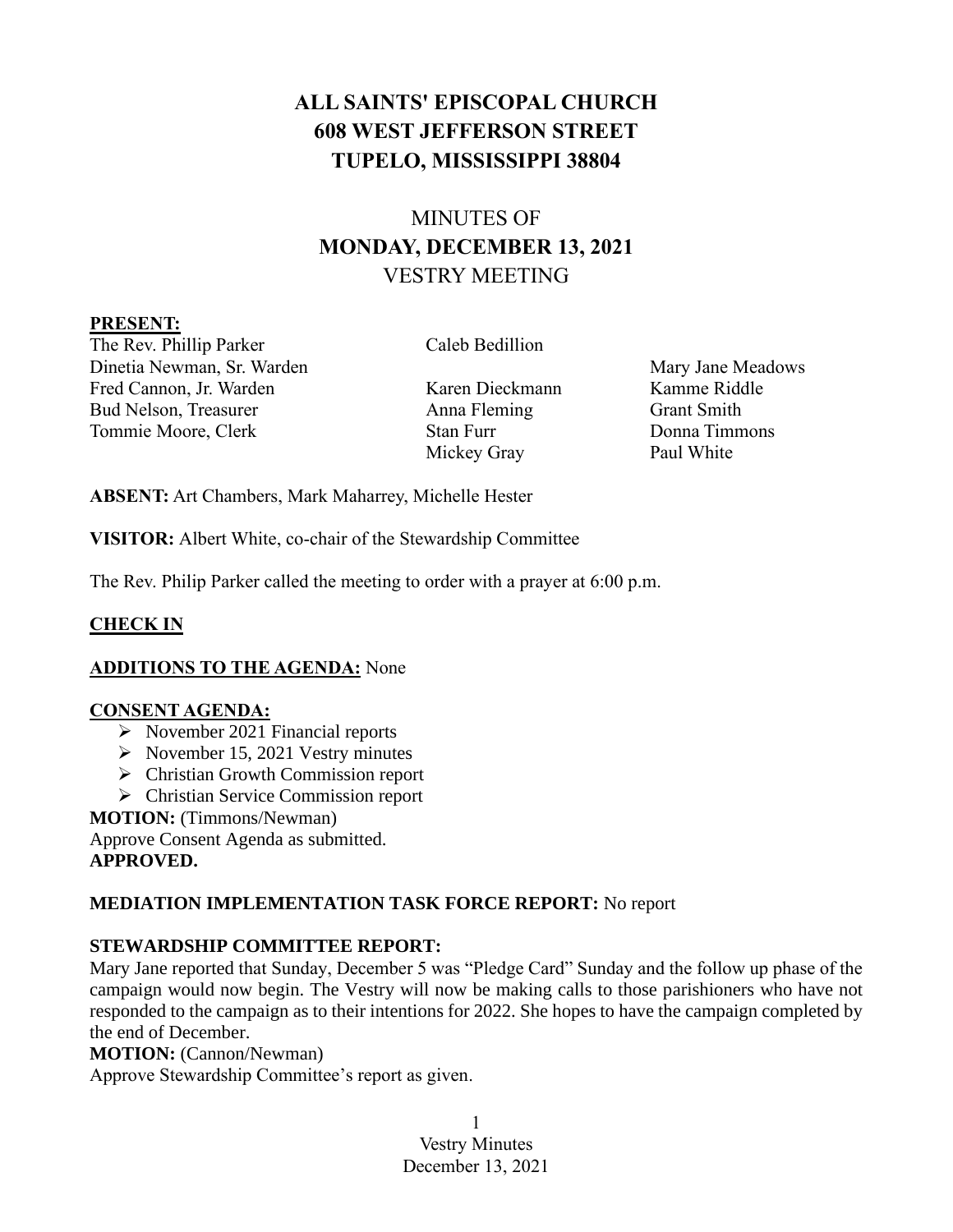# **ALL SAINTS' EPISCOPAL CHURCH 608 WEST JEFFERSON STREET TUPELO, MISSISSIPPI 38804**

# MINUTES OF **MONDAY, DECEMBER 13, 2021** VESTRY MEETING

#### **PRESENT:**

The Rev. Phillip Parker Caleb Bedillion Dinetia Newman, Sr. Warden Mary Jane Meadows Mary Jane Meadows Fred Cannon, Jr. Warden Karen Dieckmann Kamme Riddle Bud Nelson, Treasurer Anna Fleming Grant Smith Tommie Moore, Clerk Stan Furr Donna Timmons

Mickey Gray Paul White

**ABSENT:** Art Chambers, Mark Maharrey, Michelle Hester

**VISITOR:** Albert White, co-chair of the Stewardship Committee

The Rev. Philip Parker called the meeting to order with a prayer at 6:00 p.m.

# **CHECK IN**

# **ADDITIONS TO THE AGENDA:** None

### **CONSENT AGENDA:**

- ➢ November 2021 Financial reports
- $\triangleright$  November 15, 2021 Vestry minutes
- ➢ Christian Growth Commission report
- ➢ Christian Service Commission report

### **MOTION:** (Timmons/Newman)

Approve Consent Agenda as submitted. **APPROVED.**

# **MEDIATION IMPLEMENTATION TASK FORCE REPORT:** No report

# **STEWARDSHIP COMMITTEE REPORT:**

Mary Jane reported that Sunday, December 5 was "Pledge Card" Sunday and the follow up phase of the campaign would now begin. The Vestry will now be making calls to those parishioners who have not responded to the campaign as to their intentions for 2022. She hopes to have the campaign completed by the end of December.

### **MOTION:** (Cannon/Newman)

Approve Stewardship Committee's report as given.

1 Vestry Minutes December 13, 2021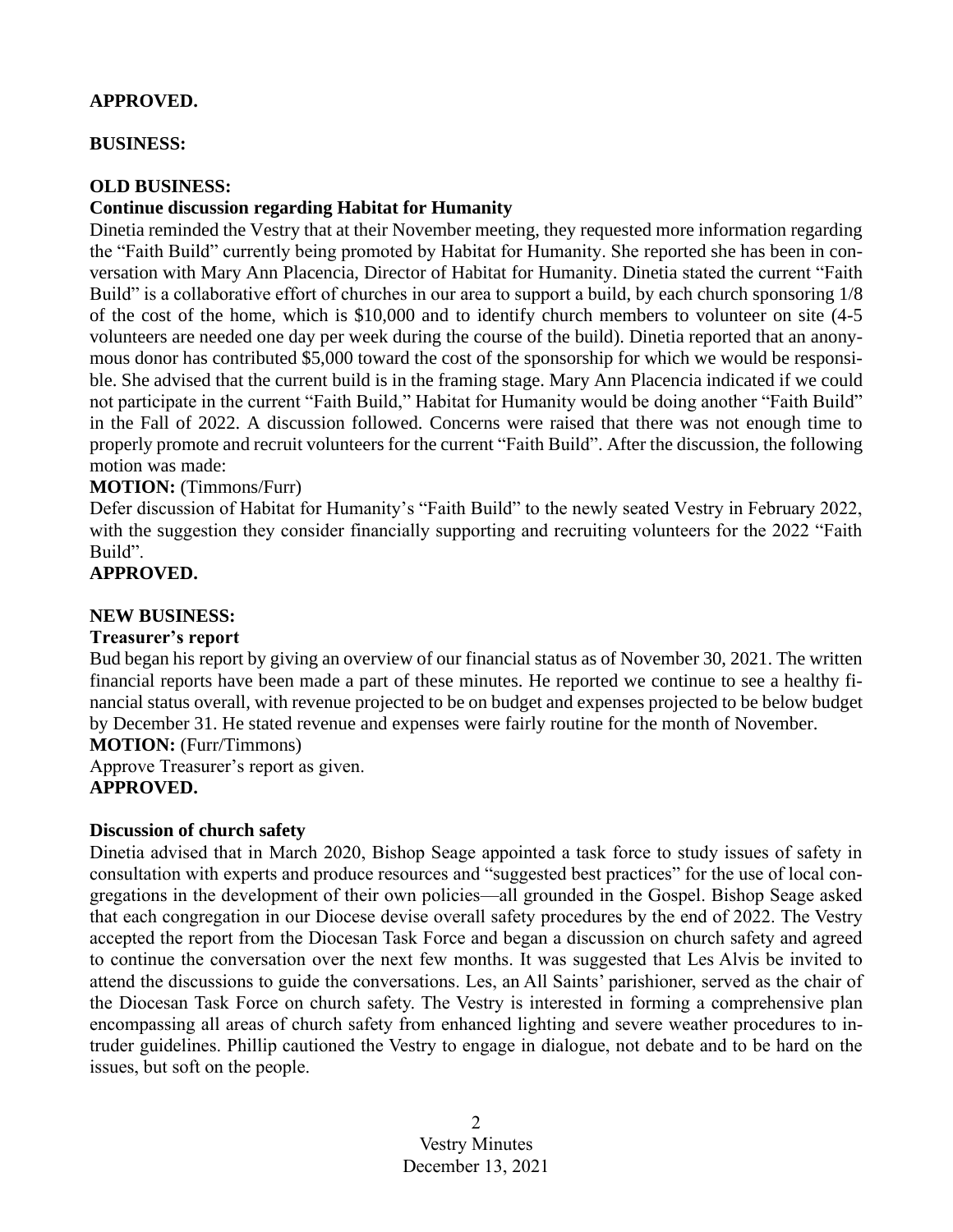#### **APPROVED.**

#### **BUSINESS:**

#### **OLD BUSINESS:**

#### **Continue discussion regarding Habitat for Humanity**

Dinetia reminded the Vestry that at their November meeting, they requested more information regarding the "Faith Build" currently being promoted by Habitat for Humanity. She reported she has been in conversation with Mary Ann Placencia, Director of Habitat for Humanity. Dinetia stated the current "Faith Build" is a collaborative effort of churches in our area to support a build, by each church sponsoring 1/8 of the cost of the home, which is \$10,000 and to identify church members to volunteer on site (4-5 volunteers are needed one day per week during the course of the build). Dinetia reported that an anonymous donor has contributed \$5,000 toward the cost of the sponsorship for which we would be responsible. She advised that the current build is in the framing stage. Mary Ann Placencia indicated if we could not participate in the current "Faith Build," Habitat for Humanity would be doing another "Faith Build" in the Fall of 2022. A discussion followed. Concerns were raised that there was not enough time to properly promote and recruit volunteers for the current "Faith Build". After the discussion, the following motion was made:

#### **MOTION:** (Timmons/Furr)

Defer discussion of Habitat for Humanity's "Faith Build" to the newly seated Vestry in February 2022, with the suggestion they consider financially supporting and recruiting volunteers for the 2022 "Faith Build".

#### **APPROVED.**

#### **NEW BUSINESS:**

#### **Treasurer's report**

Bud began his report by giving an overview of our financial status as of November 30, 2021. The written financial reports have been made a part of these minutes. He reported we continue to see a healthy financial status overall, with revenue projected to be on budget and expenses projected to be below budget by December 31. He stated revenue and expenses were fairly routine for the month of November.

**MOTION:** (Furr/Timmons) Approve Treasurer's report as given. **APPROVED.**

### **Discussion of church safety**

Dinetia advised that in March 2020, Bishop Seage appointed a task force to study issues of safety in consultation with experts and produce resources and "suggested best practices" for the use of local congregations in the development of their own policies—all grounded in the Gospel. Bishop Seage asked that each congregation in our Diocese devise overall safety procedures by the end of 2022. The Vestry accepted the report from the Diocesan Task Force and began a discussion on church safety and agreed to continue the conversation over the next few months. It was suggested that Les Alvis be invited to attend the discussions to guide the conversations. Les, an All Saints' parishioner, served as the chair of the Diocesan Task Force on church safety. The Vestry is interested in forming a comprehensive plan encompassing all areas of church safety from enhanced lighting and severe weather procedures to intruder guidelines. Phillip cautioned the Vestry to engage in dialogue, not debate and to be hard on the issues, but soft on the people.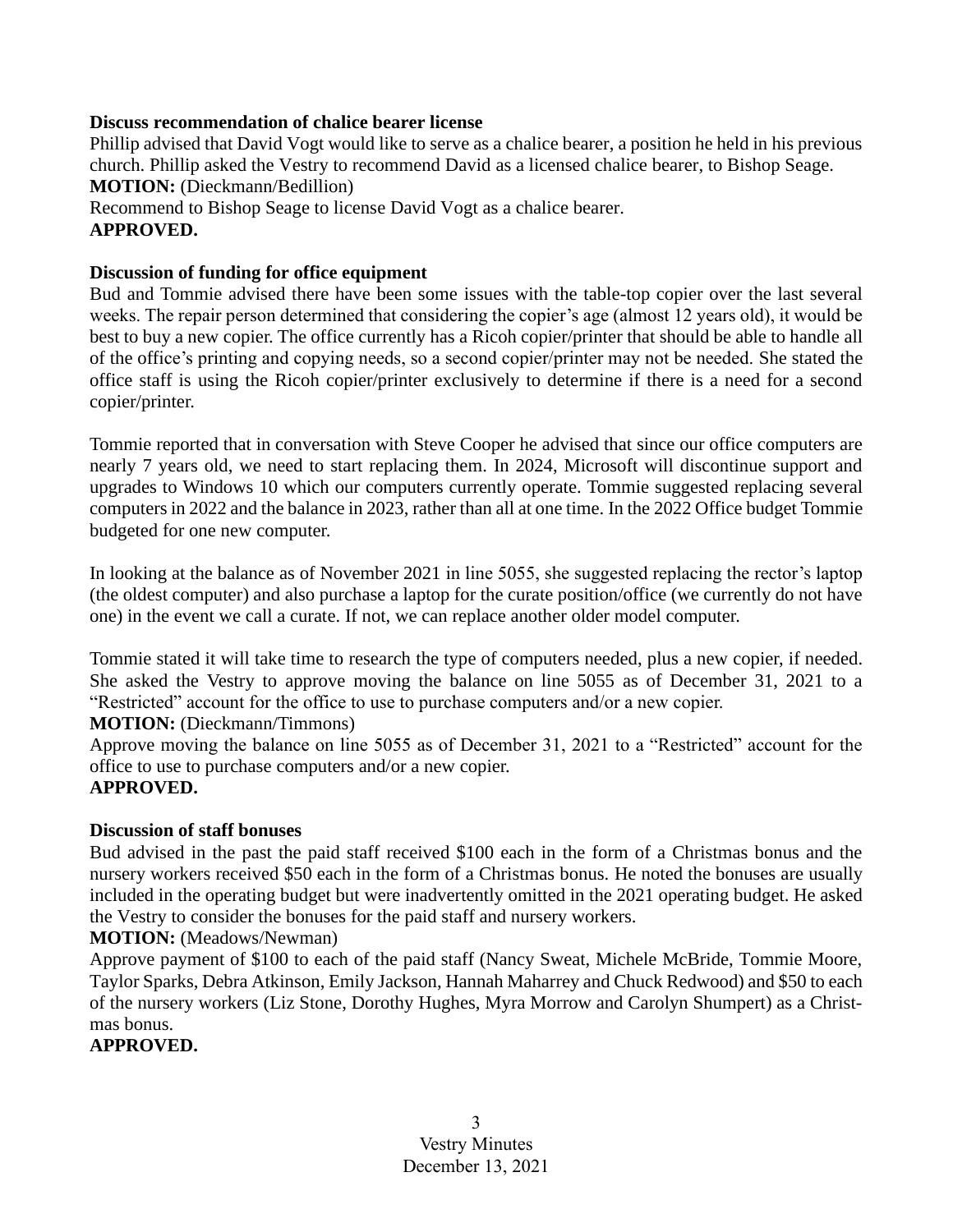#### **Discuss recommendation of chalice bearer license**

Phillip advised that David Vogt would like to serve as a chalice bearer, a position he held in his previous church. Phillip asked the Vestry to recommend David as a licensed chalice bearer, to Bishop Seage. **MOTION:** (Dieckmann/Bedillion) Recommend to Bishop Seage to license David Vogt as a chalice bearer. **APPROVED.**

### **Discussion of funding for office equipment**

Bud and Tommie advised there have been some issues with the table-top copier over the last several weeks. The repair person determined that considering the copier's age (almost 12 years old), it would be best to buy a new copier. The office currently has a Ricoh copier/printer that should be able to handle all of the office's printing and copying needs, so a second copier/printer may not be needed. She stated the office staff is using the Ricoh copier/printer exclusively to determine if there is a need for a second copier/printer.

Tommie reported that in conversation with Steve Cooper he advised that since our office computers are nearly 7 years old, we need to start replacing them. In 2024, Microsoft will discontinue support and upgrades to Windows 10 which our computers currently operate. Tommie suggested replacing several computers in 2022 and the balance in 2023, rather than all at one time. In the 2022 Office budget Tommie budgeted for one new computer.

In looking at the balance as of November 2021 in line 5055, she suggested replacing the rector's laptop (the oldest computer) and also purchase a laptop for the curate position/office (we currently do not have one) in the event we call a curate. If not, we can replace another older model computer.

Tommie stated it will take time to research the type of computers needed, plus a new copier, if needed. She asked the Vestry to approve moving the balance on line 5055 as of December 31, 2021 to a "Restricted" account for the office to use to purchase computers and/or a new copier.

### **MOTION:** (Dieckmann/Timmons)

Approve moving the balance on line 5055 as of December 31, 2021 to a "Restricted" account for the office to use to purchase computers and/or a new copier.

### **APPROVED.**

### **Discussion of staff bonuses**

Bud advised in the past the paid staff received \$100 each in the form of a Christmas bonus and the nursery workers received \$50 each in the form of a Christmas bonus. He noted the bonuses are usually included in the operating budget but were inadvertently omitted in the 2021 operating budget. He asked the Vestry to consider the bonuses for the paid staff and nursery workers.

#### **MOTION:** (Meadows/Newman)

Approve payment of \$100 to each of the paid staff (Nancy Sweat, Michele McBride, Tommie Moore, Taylor Sparks, Debra Atkinson, Emily Jackson, Hannah Maharrey and Chuck Redwood) and \$50 to each of the nursery workers (Liz Stone, Dorothy Hughes, Myra Morrow and Carolyn Shumpert) as a Christmas bonus.

### **APPROVED.**